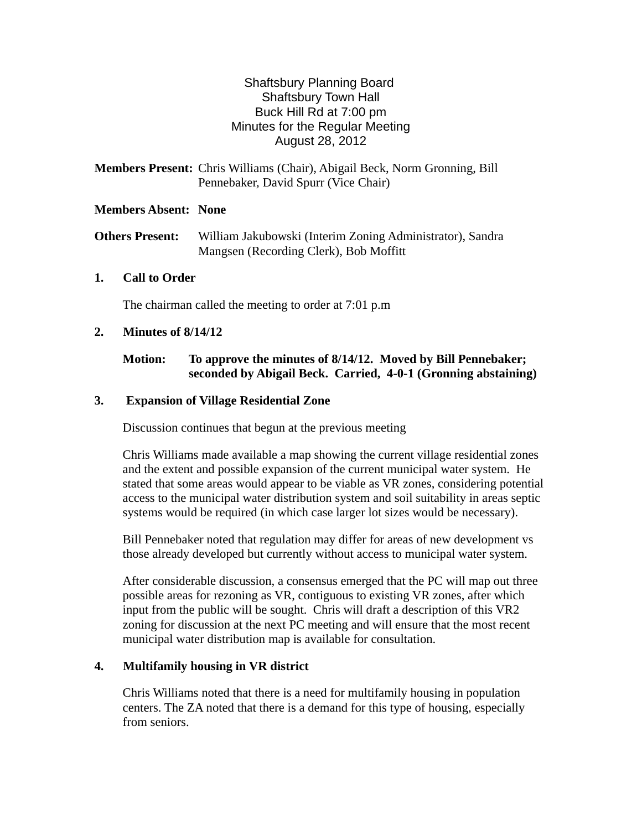# Shaftsbury Planning Board Shaftsbury Town Hall Buck Hill Rd at 7:00 pm Minutes for the Regular Meeting August 28, 2012

**Members Present:** Chris Williams (Chair), Abigail Beck, Norm Gronning, Bill Pennebaker*,* David Spurr (Vice Chair)

#### **Members Absent: None**

**Others Present:** William Jakubowski (Interim Zoning Administrator), Sandra Mangsen (Recording Clerk), Bob Moffitt

## **1. Call to Order**

The chairman called the meeting to order at 7:01 p.m

#### **2. Minutes of 8/14/12**

## **Motion: To approve the minutes of 8/14/12. Moved by Bill Pennebaker; seconded by Abigail Beck. Carried, 4-0-1 (Gronning abstaining)**

#### **3. Expansion of Village Residential Zone**

Discussion continues that begun at the previous meeting

Chris Williams made available a map showing the current village residential zones and the extent and possible expansion of the current municipal water system. He stated that some areas would appear to be viable as VR zones, considering potential access to the municipal water distribution system and soil suitability in areas septic systems would be required (in which case larger lot sizes would be necessary).

Bill Pennebaker noted that regulation may differ for areas of new development vs those already developed but currently without access to municipal water system.

After considerable discussion, a consensus emerged that the PC will map out three possible areas for rezoning as VR, contiguous to existing VR zones, after which input from the public will be sought. Chris will draft a description of this VR2 zoning for discussion at the next PC meeting and will ensure that the most recent municipal water distribution map is available for consultation.

## **4. Multifamily housing in VR district**

Chris Williams noted that there is a need for multifamily housing in population centers. The ZA noted that there is a demand for this type of housing, especially from seniors.